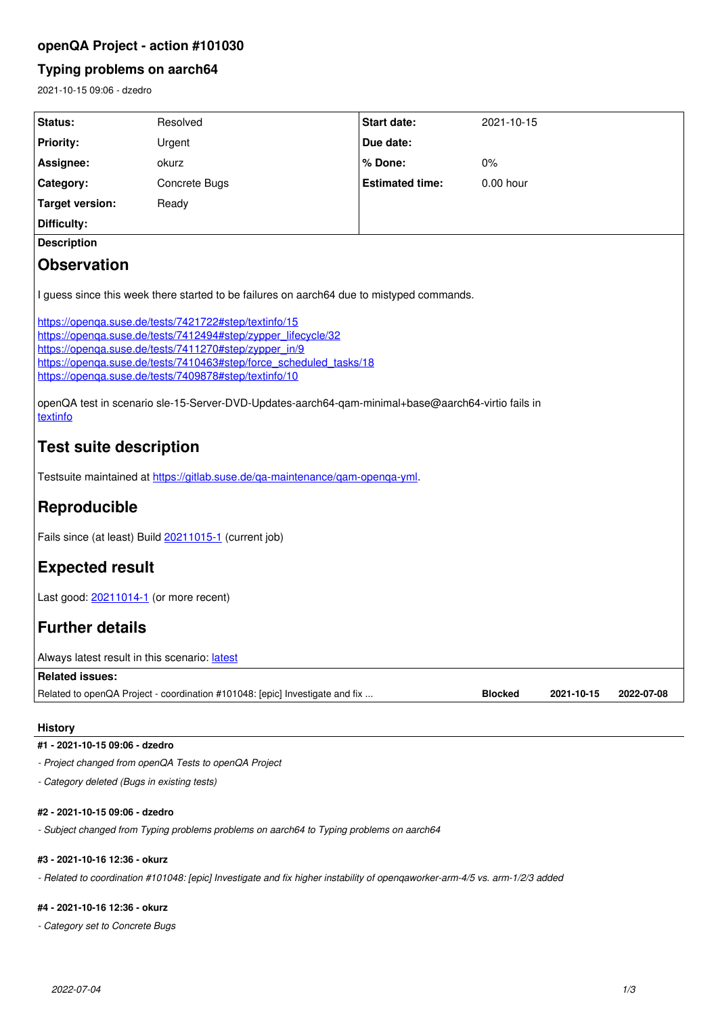# **openQA Project - action #101030**

# **Typing problems on aarch64**

2021-10-15 09:06 - dzedro

| Status:                                                                                                                                                                                                                                                                                                                                                                                                                                                                                                                                                                                                                                         | Resolved                                                                     | Start date:            | 2021-10-15                   |            |
|-------------------------------------------------------------------------------------------------------------------------------------------------------------------------------------------------------------------------------------------------------------------------------------------------------------------------------------------------------------------------------------------------------------------------------------------------------------------------------------------------------------------------------------------------------------------------------------------------------------------------------------------------|------------------------------------------------------------------------------|------------------------|------------------------------|------------|
| <b>Priority:</b>                                                                                                                                                                                                                                                                                                                                                                                                                                                                                                                                                                                                                                | Urgent                                                                       | Due date:              |                              |            |
| Assignee:                                                                                                                                                                                                                                                                                                                                                                                                                                                                                                                                                                                                                                       | okurz                                                                        | % Done:                | 0%                           |            |
| Category:                                                                                                                                                                                                                                                                                                                                                                                                                                                                                                                                                                                                                                       | Concrete Bugs                                                                | <b>Estimated time:</b> | $0.00$ hour                  |            |
| <b>Target version:</b>                                                                                                                                                                                                                                                                                                                                                                                                                                                                                                                                                                                                                          | Ready                                                                        |                        |                              |            |
| Difficulty:                                                                                                                                                                                                                                                                                                                                                                                                                                                                                                                                                                                                                                     |                                                                              |                        |                              |            |
| <b>Description</b>                                                                                                                                                                                                                                                                                                                                                                                                                                                                                                                                                                                                                              |                                                                              |                        |                              |            |
| <b>Observation</b>                                                                                                                                                                                                                                                                                                                                                                                                                                                                                                                                                                                                                              |                                                                              |                        |                              |            |
| I guess since this week there started to be failures on aarch64 due to mistyped commands.<br>https://openga.suse.de/tests/7421722#step/textinfo/15<br>https://openga.suse.de/tests/7412494#step/zypper_lifecycle/32<br>https://openga.suse.de/tests/7411270#step/zypper_in/9<br>https://openga.suse.de/tests/7410463#step/force_scheduled_tasks/18<br>https://openga.suse.de/tests/7409878#step/textinfo/10<br>openQA test in scenario sle-15-Server-DVD-Updates-aarch64-qam-minimal+base@aarch64-virtio fails in<br>textinfo<br><b>Test suite description</b><br>Testsuite maintained at https://gitlab.suse.de/ga-maintenance/gam-openga-yml. |                                                                              |                        |                              |            |
| Reproducible                                                                                                                                                                                                                                                                                                                                                                                                                                                                                                                                                                                                                                    |                                                                              |                        |                              |            |
| Fails since (at least) Build 20211015-1 (current job)                                                                                                                                                                                                                                                                                                                                                                                                                                                                                                                                                                                           |                                                                              |                        |                              |            |
| <b>Expected result</b>                                                                                                                                                                                                                                                                                                                                                                                                                                                                                                                                                                                                                          |                                                                              |                        |                              |            |
| Last good: 20211014-1 (or more recent)                                                                                                                                                                                                                                                                                                                                                                                                                                                                                                                                                                                                          |                                                                              |                        |                              |            |
| <b>Further details</b>                                                                                                                                                                                                                                                                                                                                                                                                                                                                                                                                                                                                                          |                                                                              |                        |                              |            |
| Always latest result in this scenario: latest                                                                                                                                                                                                                                                                                                                                                                                                                                                                                                                                                                                                   |                                                                              |                        |                              |            |
| <b>Related issues:</b>                                                                                                                                                                                                                                                                                                                                                                                                                                                                                                                                                                                                                          |                                                                              |                        |                              |            |
|                                                                                                                                                                                                                                                                                                                                                                                                                                                                                                                                                                                                                                                 | Related to openQA Project - coordination #101048: [epic] Investigate and fix |                        | <b>Blocked</b><br>2021-10-15 | 2022-07-08 |

## **History**

# **#1 - 2021-10-15 09:06 - dzedro**

*- Project changed from openQA Tests to openQA Project*

*- Category deleted (Bugs in existing tests)*

## **#2 - 2021-10-15 09:06 - dzedro**

*- Subject changed from Typing problems problems on aarch64 to Typing problems on aarch64*

### **#3 - 2021-10-16 12:36 - okurz**

*- Related to coordination #101048: [epic] Investigate and fix higher instability of openqaworker-arm-4/5 vs. arm-1/2/3 added*

### **#4 - 2021-10-16 12:36 - okurz**

*- Category set to Concrete Bugs*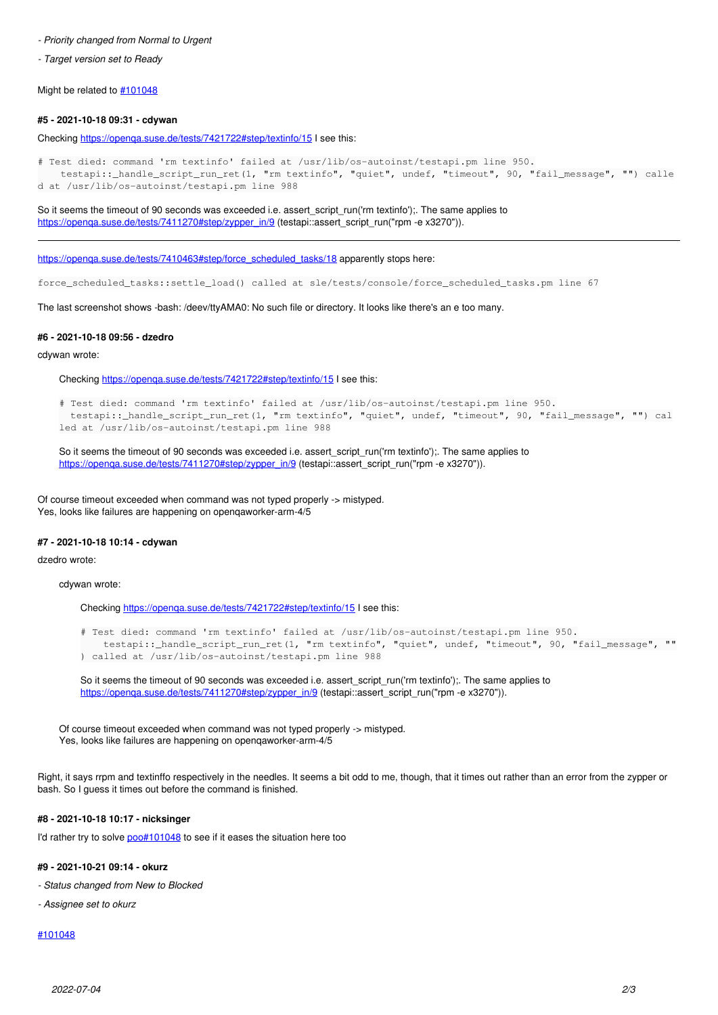#### *- Priority changed from Normal to Urgent*

*- Target version set to Ready*

Might be related to  $\#101048$  $\#101048$ 

#### **#5 - 2021-10-18 09:31 - cdywan**

Checking <https://openqa.suse.de/tests/7421722#step/textinfo/15>I see this:

```
# Test died: command 'rm textinfo' failed at /usr/lib/os-autoinst/testapi.pm line 950.
        testapi::_handle_script_run_ret(1, "rm textinfo", "quiet", undef, "timeout", 90, "fail_message", "") calle
d at /usr/lib/os-autoinst/testapi.pm line 988
```
So it seems the timeout of 90 seconds was exceeded i.e. assert\_script\_run('rm textinfo');. The same applies to [https://openqa.suse.de/tests/7411270#step/zypper\\_in/9](https://openqa.suse.de/tests/7411270#step/zypper_in/9) (testapi::assert\_script\_run("rpm -e x3270")).

[https://openqa.suse.de/tests/7410463#step/force\\_scheduled\\_tasks/18](https://openqa.suse.de/tests/7410463#step/force_scheduled_tasks/18) apparently stops here:

force\_scheduled\_tasks::settle\_load() called at sle/tests/console/force\_scheduled\_tasks.pm line 67

The last screenshot shows -bash: /deev/ttyAMA0: No such file or directory. It looks like there's an e too many.

### **#6 - 2021-10-18 09:56 - dzedro**

cdywan wrote:

Checking <https://openqa.suse.de/tests/7421722#step/textinfo/15>I see this:

```
# Test died: command 'rm textinfo' failed at /usr/lib/os-autoinst/testapi.pm line 950.
    testapi::_handle_script_run_ret(1, "rm textinfo", "quiet", undef, "timeout", 90, "fail_message", "") cal
led at /usr/lib/os-autoinst/testapi.pm line 988
```
So it seems the timeout of 90 seconds was exceeded i.e. assert\_script\_run('rm textinfo');. The same applies to [https://openqa.suse.de/tests/7411270#step/zypper\\_in/9](https://openqa.suse.de/tests/7411270#step/zypper_in/9) (testapi::assert\_script\_run("rpm -e x3270")).

Of course timeout exceeded when command was not typed properly -> mistyped. Yes, looks like failures are happening on openqaworker-arm-4/5

### **#7 - 2021-10-18 10:14 - cdywan**

dzedro wrote:

cdywan wrote:

Checking https://openga.suse.de/tests/7421722#step/textinfo/15 I see this:

```
# Test died: command 'rm textinfo' failed at /usr/lib/os-autoinst/testapi.pm line 950.
        testapi::_handle_script_run_ret(1, "rm textinfo", "quiet", undef, "timeout", 90, "fail_message", ""
) called at /usr/lib/os-autoinst/testapi.pm line 988
```
So it seems the timeout of 90 seconds was exceeded i.e. assert script run('rm textinfo');. The same applies to [https://openqa.suse.de/tests/7411270#step/zypper\\_in/9](https://openqa.suse.de/tests/7411270#step/zypper_in/9) (testapi::assert\_script\_run("rpm -e x3270")).

Of course timeout exceeded when command was not typed properly -> mistyped. Yes, looks like failures are happening on openqaworker-arm-4/5

Right, it says rrpm and textinffo respectively in the needles. It seems a bit odd to me, though, that it times out rather than an error from the zypper or bash. So I guess it times out before the command is finished.

#### **#8 - 2021-10-18 10:17 - nicksinger**

I'd rather try to solve [poo#101048](https://progress.opensuse.org/issues/101048) to see if it eases the situation here too

#### **#9 - 2021-10-21 09:14 - okurz**

- *Status changed from New to Blocked*
- *Assignee set to okurz*

### [#101048](https://progress.opensuse.org/issues/101048)